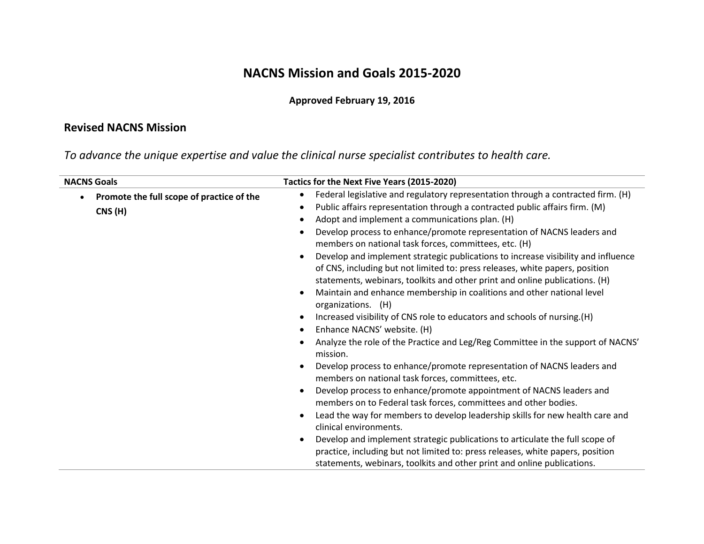## **NACNS Mission and Goals 2015-2020**

## **Approved February 19, 2016**

## **Revised NACNS Mission**

*To advance the unique expertise and value the clinical nurse specialist contributes to health care.*

| <b>NACNS Goals</b>                                                | Tactics for the Next Five Years (2015-2020)                                                                                                                                                                                                                                                                                                                                                                                                                                                                                                                                                                                                                                                                                                                                                                                                                                                                                                                                                                                                                                                                                                                                                                                                                                                                                                                                            |
|-------------------------------------------------------------------|----------------------------------------------------------------------------------------------------------------------------------------------------------------------------------------------------------------------------------------------------------------------------------------------------------------------------------------------------------------------------------------------------------------------------------------------------------------------------------------------------------------------------------------------------------------------------------------------------------------------------------------------------------------------------------------------------------------------------------------------------------------------------------------------------------------------------------------------------------------------------------------------------------------------------------------------------------------------------------------------------------------------------------------------------------------------------------------------------------------------------------------------------------------------------------------------------------------------------------------------------------------------------------------------------------------------------------------------------------------------------------------|
| Promote the full scope of practice of the<br>$\bullet$<br>CNS (H) | Federal legislative and regulatory representation through a contracted firm. (H)<br>Public affairs representation through a contracted public affairs firm. (M)<br>Adopt and implement a communications plan. (H)<br>Develop process to enhance/promote representation of NACNS leaders and<br>members on national task forces, committees, etc. (H)<br>Develop and implement strategic publications to increase visibility and influence<br>of CNS, including but not limited to: press releases, white papers, position<br>statements, webinars, toolkits and other print and online publications. (H)<br>Maintain and enhance membership in coalitions and other national level<br>organizations. (H)<br>Increased visibility of CNS role to educators and schools of nursing.(H)<br>Enhance NACNS' website. (H)<br>Analyze the role of the Practice and Leg/Reg Committee in the support of NACNS'<br>mission.<br>Develop process to enhance/promote representation of NACNS leaders and<br>members on national task forces, committees, etc.<br>Develop process to enhance/promote appointment of NACNS leaders and<br>members on to Federal task forces, committees and other bodies.<br>Lead the way for members to develop leadership skills for new health care and<br>clinical environments.<br>Develop and implement strategic publications to articulate the full scope of |
|                                                                   | practice, including but not limited to: press releases, white papers, position<br>statements, webinars, toolkits and other print and online publications.                                                                                                                                                                                                                                                                                                                                                                                                                                                                                                                                                                                                                                                                                                                                                                                                                                                                                                                                                                                                                                                                                                                                                                                                                              |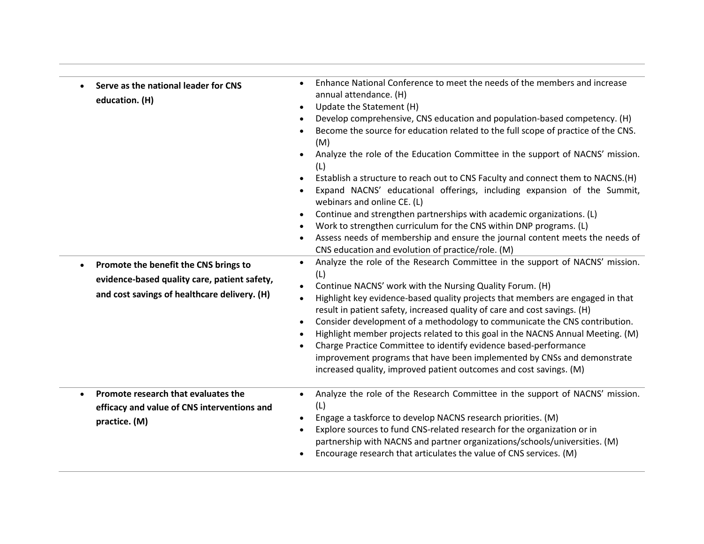| $\bullet$ | Serve as the national leader for CNS<br>education. (H)<br>Promote the benefit the CNS brings to<br>evidence-based quality care, patient safety,<br>and cost savings of healthcare delivery. (H) | Enhance National Conference to meet the needs of the members and increase<br>annual attendance. (H)<br>Update the Statement (H)<br>$\bullet$<br>Develop comprehensive, CNS education and population-based competency. (H)<br>Become the source for education related to the full scope of practice of the CNS.<br>(M)<br>Analyze the role of the Education Committee in the support of NACNS' mission.<br>$\bullet$<br>(L)<br>Establish a structure to reach out to CNS Faculty and connect them to NACNS.(H)<br>Expand NACNS' educational offerings, including expansion of the Summit,<br>webinars and online CE. (L)<br>Continue and strengthen partnerships with academic organizations. (L)<br>$\bullet$<br>Work to strengthen curriculum for the CNS within DNP programs. (L)<br>Assess needs of membership and ensure the journal content meets the needs of<br>CNS education and evolution of practice/role. (M)<br>Analyze the role of the Research Committee in the support of NACNS' mission.<br>$\bullet$<br>(L)<br>Continue NACNS' work with the Nursing Quality Forum. (H)<br>$\bullet$<br>Highlight key evidence-based quality projects that members are engaged in that<br>$\bullet$<br>result in patient safety, increased quality of care and cost savings. (H)<br>Consider development of a methodology to communicate the CNS contribution.<br>$\bullet$<br>Highlight member projects related to this goal in the NACNS Annual Meeting. (M)<br>Charge Practice Committee to identify evidence based-performance<br>$\bullet$<br>improvement programs that have been implemented by CNSs and demonstrate<br>increased quality, improved patient outcomes and cost savings. (M) |
|-----------|-------------------------------------------------------------------------------------------------------------------------------------------------------------------------------------------------|---------------------------------------------------------------------------------------------------------------------------------------------------------------------------------------------------------------------------------------------------------------------------------------------------------------------------------------------------------------------------------------------------------------------------------------------------------------------------------------------------------------------------------------------------------------------------------------------------------------------------------------------------------------------------------------------------------------------------------------------------------------------------------------------------------------------------------------------------------------------------------------------------------------------------------------------------------------------------------------------------------------------------------------------------------------------------------------------------------------------------------------------------------------------------------------------------------------------------------------------------------------------------------------------------------------------------------------------------------------------------------------------------------------------------------------------------------------------------------------------------------------------------------------------------------------------------------------------------------------------------------------------------------------------------------------------------|
|           | Promote research that evaluates the<br>efficacy and value of CNS interventions and<br>practice. (M)                                                                                             | Analyze the role of the Research Committee in the support of NACNS' mission.<br>$\bullet$<br>(L)<br>Engage a taskforce to develop NACNS research priorities. (M)<br>$\bullet$<br>Explore sources to fund CNS-related research for the organization or in<br>$\bullet$<br>partnership with NACNS and partner organizations/schools/universities. (M)<br>Encourage research that articulates the value of CNS services. (M)                                                                                                                                                                                                                                                                                                                                                                                                                                                                                                                                                                                                                                                                                                                                                                                                                                                                                                                                                                                                                                                                                                                                                                                                                                                                         |